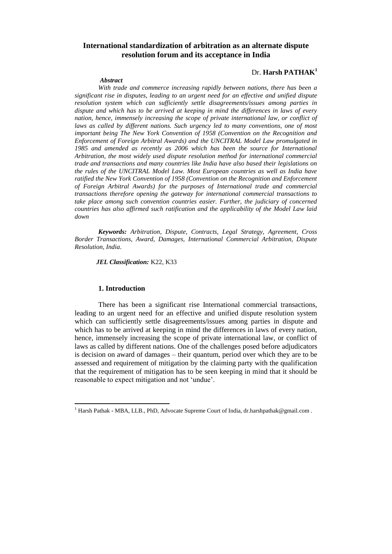# **International standardization of arbitration as an alternate dispute resolution forum and its acceptance in India**

#### *Abstract*

### Dr. **Harsh PATHAK<sup>1</sup>**

*With trade and commerce increasing rapidly between nations, there has been a significant rise in disputes, leading to an urgent need for an effective and unified dispute resolution system which can sufficiently settle disagreements/issues among parties in dispute and which has to be arrived at keeping in mind the differences in laws of every nation, hence, immensely increasing the scope of private international law, or conflict of*  laws as called by different nations. Such urgency led to many conventions, one of most *important being The New York Convention of 1958 (Convention on the Recognition and Enforcement of Foreign Arbitral Awards) and the UNCITRAL Model Law promulgated in 1985 and amended as recently as 2006 which has been the source for International Arbitration, the most widely used dispute resolution method for international commercial trade and transactions and many countries like India have also based their legislations on the rules of the UNCITRAL Model Law. Most European countries as well as India have ratified the New York Convention of 1958 (Convention on the Recognition and Enforcement of Foreign Arbitral Awards) for the purposes of International trade and commercial transactions therefore opening the gateway for international commercial transactions to take place among such convention countries easier. Further, the judiciary of concerned countries has also affirmed such ratification and the applicability of the Model Law laid down*

*Keywords: Arbitration, Dispute, Contracts, Legal Strategy, Agreement, Cross Border Transactions, Award, Damages, International Commercial Arbitration, Dispute Resolution, India.* 

*JEL Classification:* K22, K33

### **1. Introduction**

 $\overline{\phantom{a}}$ 

There has been a significant rise International commercial transactions, leading to an urgent need for an effective and unified dispute resolution system which can sufficiently settle disagreements/issues among parties in dispute and which has to be arrived at keeping in mind the differences in laws of every nation, hence, immensely increasing the scope of private international law, or conflict of laws as called by different nations. One of the challenges posed before adjudicators is decision on award of damages – their quantum, period over which they are to be assessed and requirement of mitigation by the claiming party with the qualification that the requirement of mitigation has to be seen keeping in mind that it should be reasonable to expect mitigation and not 'undue'.

<sup>&</sup>lt;sup>1</sup> Harsh Pathak **-** MBA, LLB., PhD, Advocate Supreme Court of India, dr.harshpathak@gmail.com.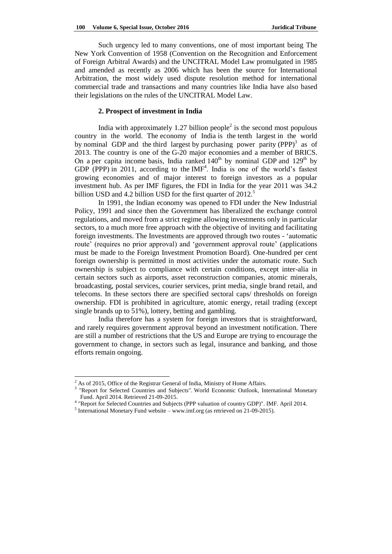Such urgency led to many conventions, one of most important being The New York Convention of 1958 (Convention on the Recognition and Enforcement of Foreign Arbitral Awards) and the UNCITRAL Model Law promulgated in 1985 and amended as recently as 2006 which has been the source for International Arbitration, the most widely used dispute resolution method for international commercial trade and transactions and many countries like India have also based their legislations on the rules of the UNCITRAL Model Law.

### **2. Prospect of investment in India**

India with approximately 1.27 billion people<sup>2</sup> is the second most populous country in the world. The economy of India is the [tenth largest](http://en.wikipedia.org/wiki/List_of_countries_by_GDP_(nominal)) in the world by [nominal GDP](http://en.wikipedia.org/wiki/Gross_domestic_product) and the [third largest](http://en.wikipedia.org/wiki/List_of_countries_by_GDP_(PPP)) by [purchasing power parity](http://en.wikipedia.org/wiki/Purchasing_power_parity)  $(PPP)^3$  as of 2013. The country is one of the [G-20 major economies](http://en.wikipedia.org/wiki/G-20_major_economies) and a member of [BRICS.](http://en.wikipedia.org/wiki/BRICS) On a [per capita income](http://en.wikipedia.org/wiki/Per_capita_income) basis, India ranked  $140<sup>th</sup>$  [by nominal GDP](http://en.wikipedia.org/wiki/List_of_countries_by_GDP_(nominal)_per_capita) and  $129<sup>th</sup>$  by [GDP \(PPP\)](http://en.wikipedia.org/wiki/List_of_countries_by_GDP_(PPP)_per_capita) in 2011, according to the  $IMF<sup>4</sup>$  $IMF<sup>4</sup>$ . India is one of the world's fastest growing economies and of major interest to foreign investors as a popular investment hub. As per IMF figures, the FDI in India for the year 2011 was 34.2 billion USD and 4.2 billion USD for the first quarter of 2012.<sup>5</sup>

In 1991, the Indian economy was opened to FDI under the New Industrial Policy, 1991 and since then the Government has liberalized the exchange control regulations, and moved from a strict regime allowing investments only in particular sectors, to a much more free approach with the objective of inviting and facilitating foreign investments. The Investments are approved through two routes - ‗automatic route' (requires no prior approval) and ‗government approval route' (applications must be made to the Foreign Investment Promotion Board). One-hundred per cent foreign ownership is permitted in most activities under the automatic route. Such ownership is subject to compliance with certain conditions, except inter-alia in certain sectors such as airports, asset reconstruction companies, atomic minerals, broadcasting, postal services, courier services, print media, single brand retail, and telecoms. In these sectors there are specified sectoral caps/ thresholds on foreign ownership. FDI is prohibited in agriculture, atomic energy, retail trading (except single brands up to 51%), lottery, betting and gambling.

India therefore has a system for foreign investors that is straightforward, and rarely requires government approval beyond an investment notification. There are still a number of restrictions that the US and Europe are trying to encourage the government to change, in sectors such as legal, insurance and banking, and those efforts remain ongoing.

 $\overline{a}$ 

 $2$  As of 2015, Office of the Registrar General of India, Ministry of Home Affairs.

<sup>&</sup>lt;sup>3</sup> "Report for Selected Countries and Subjects". [World Economic Outlook,](http://en.wikipedia.org/wiki/World_Economic_Outlook) International Monetary [Fund.](http://en.wikipedia.org/wiki/International_Monetary_Fund) April 2014. Retrieved 21-09-2015.

<sup>&</sup>lt;sup>4</sup> "Report for Selected Countries and Subjects (PPP valuation of country GDP)". IMF. April 2014.

<sup>&</sup>lt;sup>5</sup> International Monetary Fund website – www.imf.org (as retrieved on 21-09-2015).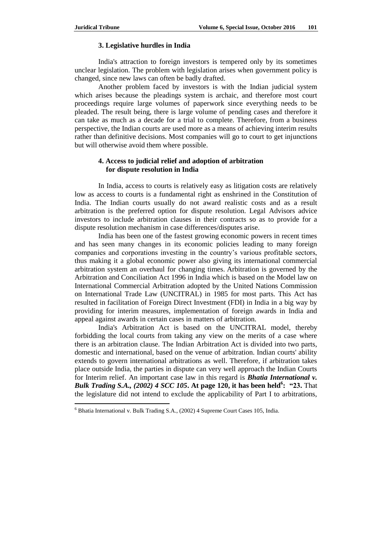$\overline{\phantom{a}}$ 

### **3. Legislative hurdles in India**

India's attraction to foreign investors is tempered only by its sometimes unclear legislation. The problem with legislation arises when government policy is changed, since new laws can often be badly drafted.

Another problem faced by investors is with the Indian judicial system which arises because the pleadings system is archaic, and therefore most court proceedings require large volumes of paperwork since everything needs to be pleaded. The result being, there is large volume of pending cases and therefore it can take as much as a decade for a trial to complete. Therefore, from a business perspective, the Indian courts are used more as a means of achieving interim results rather than definitive decisions. Most companies will go to court to get injunctions but will otherwise avoid them where possible.

### **4. Access to judicial relief and adoption of arbitration for dispute resolution in India**

In India, access to courts is relatively easy as litigation costs are relatively low as access to courts is a fundamental right as enshrined in the Constitution of India. The Indian courts usually do not award realistic costs and as a result arbitration is the preferred option for dispute resolution. Legal Advisors advice investors to include arbitration clauses in their contracts so as to provide for a dispute resolution mechanism in case differences/disputes arise.

India has been one of the fastest growing economic powers in recent times and has seen many changes in its economic policies leading to many foreign companies and corporations investing in the country's various profitable sectors, thus making it a global economic power also giving its international commercial arbitration system an overhaul for changing times. Arbitration is governed by the Arbitration and Conciliation Act 1996 in India which is based on the Model law on International Commercial Arbitration adopted by the United Nations Commission on International Trade Law (UNCITRAL) in 1985 for most parts. This Act has resulted in facilitation of Foreign Direct Investment (FDI) in India in a big way by providing for interim measures, implementation of foreign awards in India and appeal against awards in certain cases in matters of arbitration.

India's Arbitration Act is based on the UNCITRAL model, thereby forbidding the local courts from taking any view on the merits of a case where there is an arbitration clause. The Indian Arbitration Act is divided into two parts, domestic and international, based on the venue of arbitration. Indian courts' ability extends to govern international arbitrations as well. Therefore, if arbitration takes place outside India, the parties in dispute can very well approach the Indian Courts for Interim relief. An important case law in this regard is *Bhatia International v. Bulk Trading S.A., (2002) 4 SCC 105***. At page 120, it has been held<sup>6</sup> : "23.** That the legislature did not intend to exclude the applicability of Part I to arbitrations,

<sup>6</sup> Bhatia International v. Bulk Trading S.A., (2002) 4 Supreme Court Cases 105, India.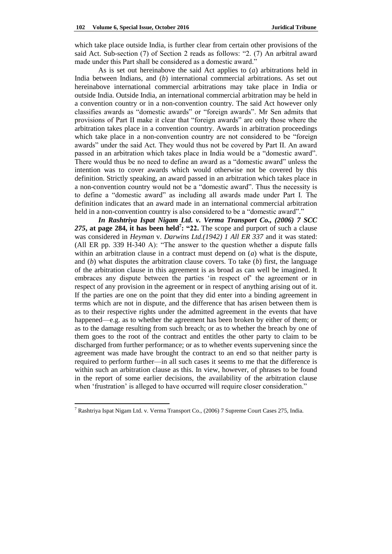which take place outside India, is further clear from certain other provisions of the said Act. Sub-section  $(7)$  of Section 2 reads as follows: "2.  $(7)$  An arbitral award made under this Part shall be considered as a domestic award."

As is set out hereinabove the said Act applies to (*a*) arbitrations held in India between Indians, and (*b*) international commercial arbitrations. As set out hereinabove international commercial arbitrations may take place in India or outside India. Outside India, an international commercial arbitration may be held in a convention country or in a non-convention country. The said Act however only classifies awards as "domestic awards" or "foreign awards". Mr Sen admits that provisions of Part II make it clear that "foreign awards" are only those where the arbitration takes place in a convention country. Awards in arbitration proceedings which take place in a non-convention country are not considered to be "foreign awards" under the said Act. They would thus not be covered by Part II. An award passed in an arbitration which takes place in India would be a "domestic award". There would thus be no need to define an award as a "domestic award" unless the intention was to cover awards which would otherwise not be covered by this definition. Strictly speaking, an award passed in an arbitration which takes place in a non-convention country would not be a "domestic award". Thus the necessity is to define a "domestic award" as including all awards made under Part I. The definition indicates that an award made in an international commercial arbitration held in a non-convention country is also considered to be a "domestic award"."

*In Rashtriya Ispat Nigam Ltd. v. Verma Transport Co., (2006) 7 SCC 275***, at page 284, it has been held<sup>7</sup> : "22.** The scope and purport of such a clause was considered in *Heyman* v. *Darwins Ltd.(1942) 1 All ER 337* and it was stated: (All ER pp. 339 H-340 A): "The answer to the question whether a dispute falls within an arbitration clause in a contract must depend on (*a*) what is the dispute, and (*b*) what disputes the arbitration clause covers. To take (*b*) first, the language of the arbitration clause in this agreement is as broad as can well be imagined. It embraces any dispute between the parties 'in respect of' the agreement or in respect of any provision in the agreement or in respect of anything arising out of it. If the parties are one on the point that they did enter into a binding agreement in terms which are not in dispute, and the difference that has arisen between them is as to their respective rights under the admitted agreement in the events that have happened—e.g. as to whether the agreement has been broken by either of them; or as to the damage resulting from such breach; or as to whether the breach by one of them goes to the root of the contract and entitles the other party to claim to be discharged from further performance; or as to whether events supervening since the agreement was made have brought the contract to an end so that neither party is required to perform further—in all such cases it seems to me that the difference is within such an arbitration clause as this. In view, however, of phrases to be found in the report of some earlier decisions, the availability of the arbitration clause when 'frustration' is alleged to have occurred will require closer consideration."

 $\overline{\phantom{a}}$ 

<sup>7</sup> Rashtriya Ispat Nigam Ltd. v. Verma Transport Co., (2006) 7 Supreme Court Cases 275, India.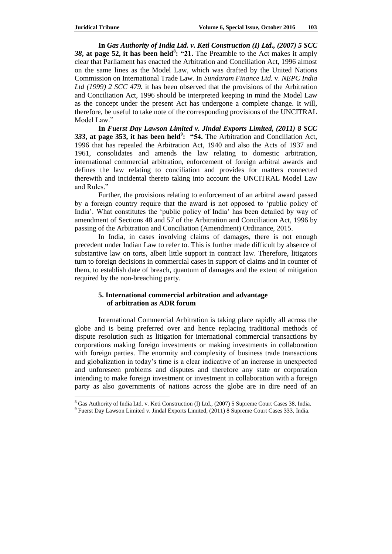$\overline{\phantom{a}}$ 

**In** *Gas Authority of India Ltd. v. Keti Construction (I) Ltd., (2007) 5 SCC 38***, at page 52, it has been held<sup>8</sup> : "21.** The Preamble to the Act makes it amply clear that Parliament has enacted the Arbitration and Conciliation Act, 1996 almost on the same lines as the Model Law, which was drafted by the United Nations Commission on International Trade Law. In *Sundaram Finance Ltd.* v. *NEPC India Ltd (1999) 2 SCC 479.* it has been observed that the provisions of the Arbitration and Conciliation Act, 1996 should be interpreted keeping in mind the Model Law as the concept under the present Act has undergone a complete change. It will, therefore, be useful to take note of the corresponding provisions of the UNCITRAL Model Law<sup>"</sup>

**In** *Fuerst Day Lawson Limited v. Jindal Exports Limited, (2011) 8 SCC 333***, at page 353, it has been held<sup>9</sup> : "54.** The Arbitration and Conciliation Act, 1996 that has repealed the Arbitration Act, 1940 and also the Acts of 1937 and 1961, consolidates and amends the law relating to domestic arbitration, international commercial arbitration, enforcement of foreign arbitral awards and defines the law relating to conciliation and provides for matters connected therewith and incidental thereto taking into account the UNCITRAL Model Law and Rules."

Further, the provisions relating to enforcement of an arbitral award passed by a foreign country require that the award is not opposed to 'public policy of India'. What constitutes the 'public policy of India' has been detailed by way of amendment of Sections 48 and 57 of the Arbitration and Conciliation Act, 1996 by passing of the Arbitration and Conciliation (Amendment) Ordinance, 2015.

In India, in cases involving claims of damages, there is not enough precedent under Indian Law to refer to. This is further made difficult by absence of substantive law on torts, albeit little support in contract law. Therefore, litigators turn to foreign decisions in commercial cases in support of claims and in counter of them, to establish date of breach, quantum of damages and the extent of mitigation required by the non-breaching party.

## **5. International commercial arbitration and advantage of arbitration as ADR forum**

International Commercial Arbitration is taking place rapidly all across the globe and is being preferred over and hence replacing traditional methods of dispute resolution such as litigation for international commercial transactions by corporations making foreign investments or making investments in collaboration with foreign parties. The enormity and complexity of business trade transactions and globalization in today's time is a clear indicative of an increase in unexpected and unforeseen problems and disputes and therefore any state or corporation intending to make foreign investment or investment in collaboration with a foreign party as also governments of nations across the globe are in dire need of an

<sup>8</sup> Gas Authority of India Ltd. v. Keti Construction (I) Ltd., (2007) 5 Supreme Court Cases 38, India.

<sup>&</sup>lt;sup>9</sup> Fuerst Day Lawson Limited v. Jindal Exports Limited, (2011) 8 Supreme Court Cases 333, India.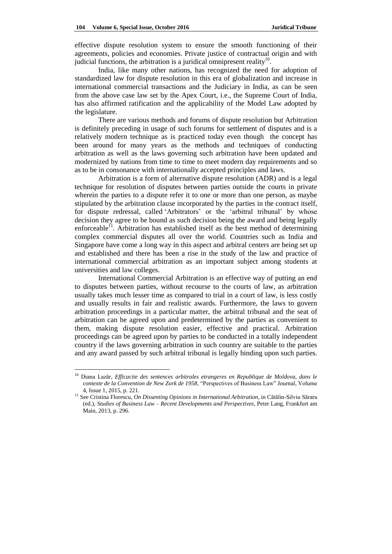effective dispute resolution system to ensure the smooth functioning of their agreements, policies and economies. Private justice of contractual origin and with judicial functions, the arbitration is a juridical omnipresent reality $10$ .

India, like many other nations, has recognized the need for adoption of standardized law for dispute resolution in this era of globalization and increase in international commercial transactions and the Judiciary in India, as can be seen from the above case law set by the Apex Court, i.e., the Supreme Court of India, has also affirmed ratification and the applicability of the Model Law adopted by the legislature.

There are various methods and forums of dispute resolution but Arbitration is definitely preceding in usage of such forums for settlement of disputes and is a relatively modern technique as is practiced today even though the concept has been around for many years as the methods and techniques of conducting arbitration as well as the laws governing such arbitration have been updated and modernized by nations from time to time to meet modern day requirements and so as to be in consonance with internationally accepted principles and laws.

Arbitration is a form of alternative dispute resolution (ADR) and is a legal technique for resolution of disputes between parties outside the courts in private wherein the parties to a dispute refer it to one or more than one person, as maybe stipulated by the arbitration clause incorporated by the parties in the contract itself, for dispute redressal, called 'Arbitrators' or the 'arbitral tribunal' by whose decision they agree to be bound as such decision being the award and being legally enforceable $^{11}$ . Arbitration has established itself as the best method of determining complex commercial disputes all over the world. Countries such as India and Singapore have come a long way in this aspect and arbitral centers are being set up and established and there has been a rise in the study of the law and practice of international commercial arbitration as an important subject among students at universities and law colleges.

International Commercial Arbitration is an effective way of putting an end to disputes between parties, without recourse to the courts of law, as arbitration usually takes much lesser time as compared to trial in a court of law, is less costly and usually results in fair and realistic awards. Furthermore, the laws to govern arbitration proceedings in a particular matter, the arbitral tribunal and the seat of arbitration can be agreed upon and predetermined by the parties as convenient to them, making dispute resolution easier, effective and practical. Arbitration proceedings can be agreed upon by parties to be conducted in a totally independent country if the laws governing arbitration in such country are suitable to the parties and any award passed by such arbitral tribunal is legally binding upon such parties.

 $\overline{a}$ 

<sup>10</sup> Diana Lazăr, *Efficacite des sentences arbitrales etrangeres en Republique de Moldova, dans le contexte de la Convention de New Zork de 1958*, "Perspectives of Business Law" Journal, Volume 4, Issue 1, 2015, p. 221.

<sup>&</sup>lt;sup>11</sup> See Cristina Florescu, *On Dissenting Opinions in International Arbitration*, in Cătălin-Silviu Săraru (ed.), *Studies of Business Law – Recent Developments and Perspectives*, Peter Lang, Frankfurt am Main, 2013, p. 296.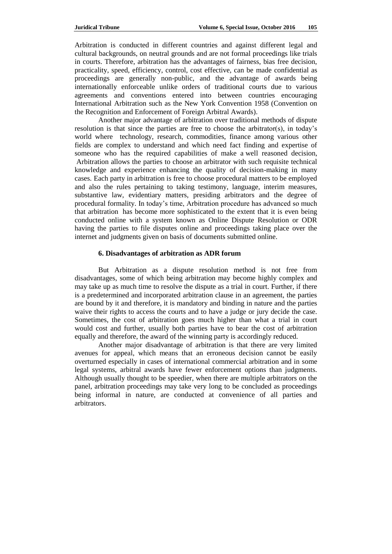Arbitration is conducted in different countries and against different legal and cultural backgrounds, on neutral grounds and are not formal proceedings like trials in courts. Therefore, arbitration has the advantages of fairness, bias free decision, practicality, speed, efficiency, control, cost effective, can be made confidential as proceedings are generally non-public, and the advantage of awards being internationally enforceable unlike orders of traditional courts due to various agreements and conventions entered into between countries encouraging International Arbitration such as the New York Convention 1958 (Convention on the Recognition and Enforcement of Foreign Arbitral Awards).

Another major advantage of arbitration over traditional methods of dispute resolution is that since the parties are free to choose the arbitrator(s), in today's world where technology, research, commodities, finance among various other fields are complex to understand and which need fact finding and expertise of someone who has the required capabilities of make a well reasoned decision, Arbitration allows the parties to choose an arbitrator with such requisite technical knowledge and experience enhancing the quality of decision-making in many cases. Each party in arbitration is free to choose procedural matters to be employed and also the rules pertaining to taking testimony, language, interim measures, substantive law, evidentiary matters, presiding arbitrators and the degree of procedural formality. In today's time, Arbitration procedure has advanced so much that arbitration has become more sophisticated to the extent that it is even being conducted online with a system known as Online Dispute Resolution or ODR having the parties to file disputes online and proceedings taking place over the internet and judgments given on basis of documents submitted online.

### **6. Disadvantages of arbitration as ADR forum**

But Arbitration as a dispute resolution method is not free from disadvantages, some of which being arbitration may become highly complex and may take up as much time to resolve the dispute as a trial in court. Further, if there is a predetermined and incorporated arbitration clause in an agreement, the parties are bound by it and therefore, it is mandatory and binding in nature and the parties waive their rights to access the courts and to have a judge or jury decide the case. Sometimes, the cost of arbitration goes much higher than what a trial in court would cost and further, usually both parties have to bear the cost of arbitration equally and therefore, the award of the winning party is accordingly reduced.

Another major disadvantage of arbitration is that there are very limited avenues for appeal, which means that an erroneous decision cannot be easily overturned especially in cases of international commercial arbitration and in some legal systems, arbitral awards have fewer enforcement options than judgments. Although usually thought to be speedier, when there are multiple arbitrators on the panel, arbitration proceedings may take very long to be concluded as proceedings being informal in nature, are conducted at convenience of all parties and arbitrators.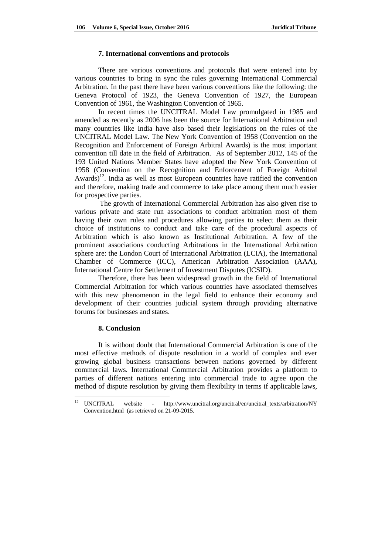### **7. International conventions and protocols**

There are various conventions and protocols that were entered into by various countries to bring in sync the rules governing International Commercial Arbitration. In the past there have been various conventions like the following: the Geneva Protocol of 1923, the Geneva Convention of 1927, the European Convention of 1961, the Washington Convention of 1965.

In recent times the UNCITRAL Model Law promulgated in 1985 and amended as recently as 2006 has been the source for International Arbitration and many countries like India have also based their legislations on the rules of the UNCITRAL Model Law. The New York Convention of 1958 (Convention on the Recognition and Enforcement of Foreign Arbitral Awards) is the most important convention till date in the field of Arbitration. As of September 2012, 145 of the 193 United Nations Member States have adopted the New York Convention of 1958 (Convention on the Recognition and Enforcement of Foreign Arbitral Awards)<sup>12</sup>. India as well as most European countries have ratified the convention and therefore, making trade and commerce to take place among them much easier for prospective parties.

The growth of International Commercial Arbitration has also given rise to various private and state run associations to conduct arbitration most of them having their own rules and procedures allowing parties to select them as their choice of institutions to conduct and take care of the procedural aspects of Arbitration which is also known as Institutional Arbitration. A few of the prominent associations conducting Arbitrations in the International Arbitration sphere are: the London Court of International Arbitration (LCIA), the International Chamber of Commerce (ICC), American Arbitration Association (AAA), International Centre for Settlement of Investment Disputes (ICSID).

Therefore, there has been widespread growth in the field of International Commercial Arbitration for which various countries have associated themselves with this new phenomenon in the legal field to enhance their economy and development of their countries judicial system through providing alternative forums for businesses and states.

### **8. Conclusion**

It is without doubt that International Commercial Arbitration is one of the most effective methods of dispute resolution in a world of complex and ever growing global business transactions between nations governed by different commercial laws. International Commercial Arbitration provides a platform to parties of different nations entering into commercial trade to agree upon the method of dispute resolution by giving them flexibility in terms if applicable laws,

 $12<sup>12</sup>$ <sup>12</sup> UNCITRAL website - [http://www.uncitral.org/uncitral/en/uncitral\\_texts/arbitration/N](http://www.uncitral.org/uncitral/en/uncitral_texts/arbitration/)Y Convention.html (as retrieved on 21-09-2015.